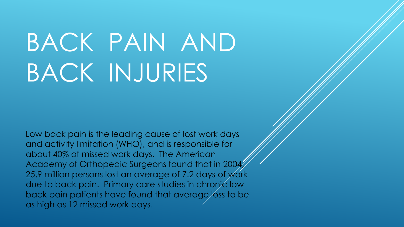# BACK PAIN AND BACK INJURIES

Low back pain is the leading cause of lost work days and activity limitation (WHO), and is responsible for about 40% of missed work days. The American Academy of Orthopedic Surgeons found that in 2004, 25.9 million persons lost an average of 7.2 days of work due to back pain. Primary care studies in chronic low back pain patients have found that average/oss to be as high as 12 missed work days.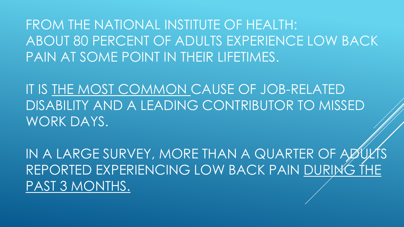FROM THE NATIONAL INSTITUTE OF HEALTH: ABOUT 80 PERCENT OF ADULTS EXPERIENCE LOW BACK PAIN AT SOME POINT IN THEIR LIFETIMES.

IT IS THE MOST COMMON CAUSE OF JOB-RELATED DISABILITY AND A LEADING CONTRIBUTOR TO MISSED WORK DAYS.

IN A LARGE SURVEY, MORE THAN A QUARTER OF AØ REPORTED EXPERIENCING LOW BACK PAIN DURING THE PAST 3 MONTHS.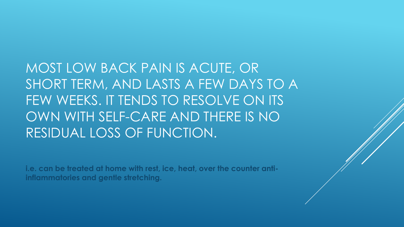MOST LOW BACK PAIN IS ACUTE, OR SHORT TERM, AND LASTS A FEW DAYS TO A FEW WEEKS. IT TENDS TO RESOLVE ON ITS OWN WITH SELF-CARE AND THERE IS NO RESIDUAL LOSS OF FUNCTION.

**i.e. can be treated at home with rest, ice, heat, over the counter antiinflammatories and gentle stretching.**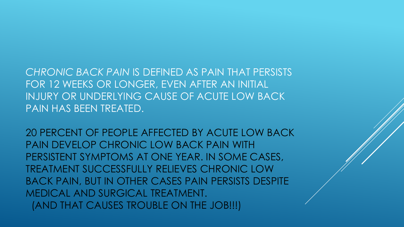*CHRONIC BACK PAIN* IS DEFINED AS PAIN THAT PERSISTS FOR 12 WEEKS OR LONGER, EVEN AFTER AN INITIAL INJURY OR UNDERLYING CAUSE OF ACUTE LOW BACK PAIN HAS BEEN TREATED.

20 PERCENT OF PEOPLE AFFECTED BY ACUTE LOW BACK PAIN DEVELOP CHRONIC LOW BACK PAIN WITH PERSISTENT SYMPTOMS AT ONE YEAR. IN SOME CASES, TREATMENT SUCCESSFULLY RELIEVES CHRONIC LOW BACK PAIN, BUT IN OTHER CASES PAIN PERSISTS DESPITE MEDICAL AND SURGICAL TREATMENT. (AND THAT CAUSES TROUBLE ON THE JOB!!!)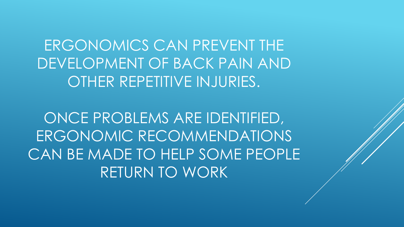ERGONOMICS CAN PREVENT THE DEVELOPMENT OF BACK PAIN AND OTHER REPETITIVE INJURIES.

ONCE PROBLEMS ARE IDENTIFIED, ERGONOMIC RECOMMENDATIONS CAN BE MADE TO HELP SOME PEOPLE RETURN TO WORK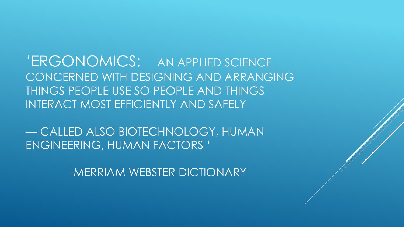'ERGONOMICS: AN APPLIED SCIENCE CONCERNED WITH DESIGNING AND ARRANGING THINGS PEOPLE USE SO PEOPLE AND THINGS INTERACT MOST EFFICIENTLY AND SAFELY

— CALLED ALSO BIOTECHNOLOGY, HUMAN ENGINEERING, HUMAN FACTORS '

-MERRIAM WEBSTER DICTIONARY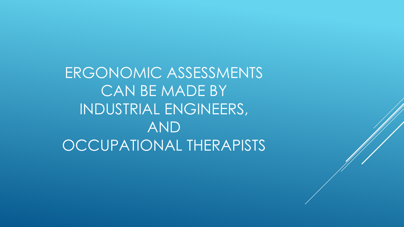ERGONOMIC ASSESSMENTS CAN BE MADE BY INDUSTRIAL ENGINEERS, AND OCCUPATIONAL THERAPISTS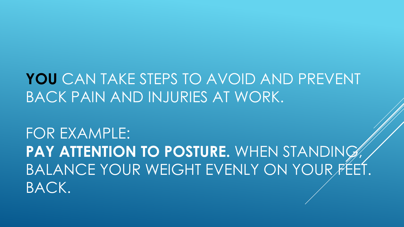## **YOU** CAN TAKE STEPS TO AVOID AND PREVENT BACK PAIN AND INJURIES AT WORK.

FOR EXAMPLE: **PAY ATTENTION TO POSTURE.** WHEN STANDING, BALANCE YOUR WEIGHT EVENLY ON YOUR FEET. BACK.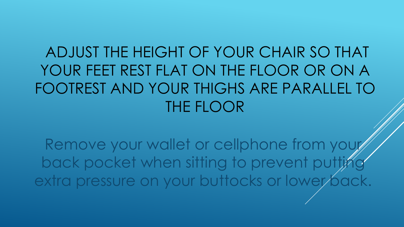ADJUST THE HEIGHT OF YOUR CHAIR SO THAT YOUR FEET REST FLAT ON THE FLOOR OR ON A FOOTREST AND YOUR THIGHS ARE PARALLEL TO THE FLOOR

Remove your wallet or cellphone from your back pocket when sitting to prevent putting extra pressure on your buttocks or lower back.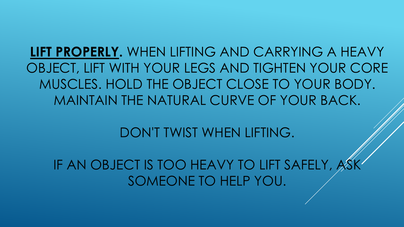**LIFT PROPERLY.** WHEN LIFTING AND CARRYING A HEAVY OBJECT, LIFT WITH YOUR LEGS AND TIGHTEN YOUR CORE MUSCLES. HOLD THE OBJECT CLOSE TO YOUR BODY. MAINTAIN THE NATURAL CURVE OF YOUR BACK.

DON'T TWIST WHEN LIFTING.

IF AN OBJECT IS TOO HEAVY TO LIFT SAFELY, SOMEONE TO HELP YOU.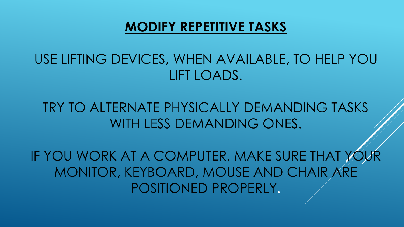#### **MODIFY REPETITIVE TASKS**

### USE LIFTING DEVICES, WHEN AVAILABLE, TO HELP YOU LIFT LOADS.

#### TRY TO ALTERNATE PHYSICALLY DEMANDING TASKS WITH LESS DEMANDING ONES.

IF YOU WORK AT A COMPUTER, MAKE SURE THAT YOU MONITOR, KEYBOARD, MOUSE AND CHAIR ARE POSITIONED PROPERLY.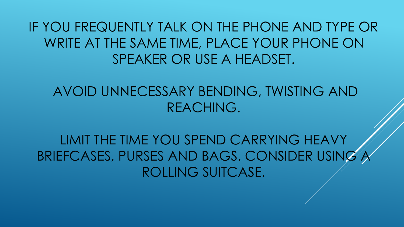IF YOU FREQUENTLY TALK ON THE PHONE AND TYPE OR WRITE AT THE SAME TIME, PLACE YOUR PHONE ON SPEAKER OR USE A HEADSET.

AVOID UNNECESSARY BENDING, TWISTING AND REACHING.

LIMIT THE TIME YOU SPEND CARRYING HEAVY BRIEFCASES, PURSES AND BAGS. CONSIDER USIN ROLLING SUITCASE.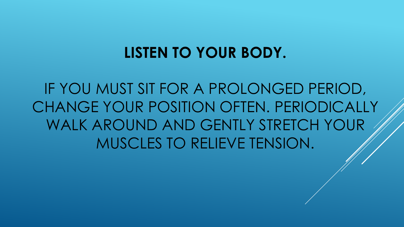### **LISTEN TO YOUR BODY.**

IF YOU MUST SIT FOR A PROLONGED PERIOD, CHANGE YOUR POSITION OFTEN. PERIODICALLY WALK AROUND AND GENTLY STRETCH YOUR MUSCLES TO RELIEVE TENSION.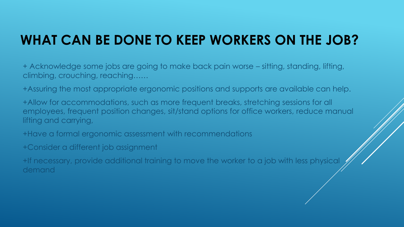### **WHAT CAN BE DONE TO KEEP WORKERS ON THE JOB?**

+ Acknowledge some jobs are going to make back pain worse – sitting, standing, lifting, climbing, crouching, reaching……

+Assuring the most appropriate ergonomic positions and supports are available can help.

+Allow for accommodations, such as more frequent breaks, stretching sessions for all employees, frequent position changes, sit/stand options for office workers, reduce manual lifting and carrying,

+Have a formal ergonomic assessment with recommendations

+Consider a different job assignment

+If necessary, provide additional training to move the worker to a job with less physical demand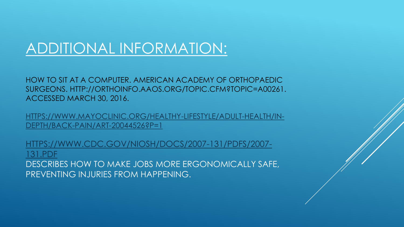### ADDITIONAL INFORMATION:

HOW TO SIT AT A COMPUTER. AMERICAN ACADEMY OF ORTHOPAEDIC SURGEONS. HTTP://ORTHOINFO.AAOS.ORG/TOPIC.CFM?TOPIC=A00261. ACCESSED MARCH 30, 2016.

[HTTPS://WWW.MAYOCLINIC.ORG/HEALTHY-LIFESTYLE/ADULT-HEALTH/IN-](https://www.mayoclinic.org/healthy-lifestyle/adult-health/in-depth/back-pain/art-20044526?p=1)DEPTH/BACK-PAIN/ART-20044526?P=1

[HTTPS://WWW.CDC.GOV/NIOSH/DOCS/2007-131/PDFS/2007-](https://www.cdc.gov/niosh/docs/2007-131/pdfs/2007-131.pdf) 131.PDF DESCRIBES HOW TO MAKE JOBS MORE ERGONOMICALLY SAFE, PREVENTING INJURIES FROM HAPPENING.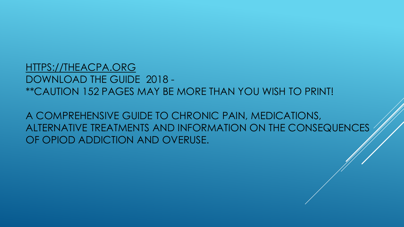#### [HTTPS://THEACPA.ORG](https://theacpa.org/) DOWNLOAD THE GUIDE 2018 - \*\*CAUTION 152 PAGES MAY BE MORE THAN YOU WISH TO PRINT!

A COMPREHENSIVE GUIDE TO CHRONIC PAIN, MEDICATIONS, ALTERNATIVE TREATMENTS AND INFORMATION ON THE CONSEQUENCES OF OPIOD ADDICTION AND OVERUSE.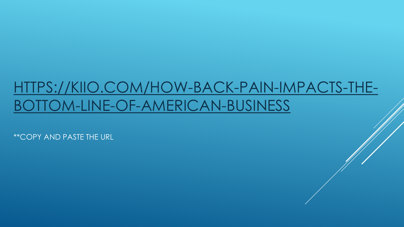## [HTTPS://KIIO.COM/HOW-BACK-PAIN-IMPACTS-THE-](https://kiio.com/how-back-pain-impacts-the-bottom-line-of-american-business)BOTTOM-LINE-OF-AMERICAN-BUSINESS

\*\*COPY AND PASTE THE URL